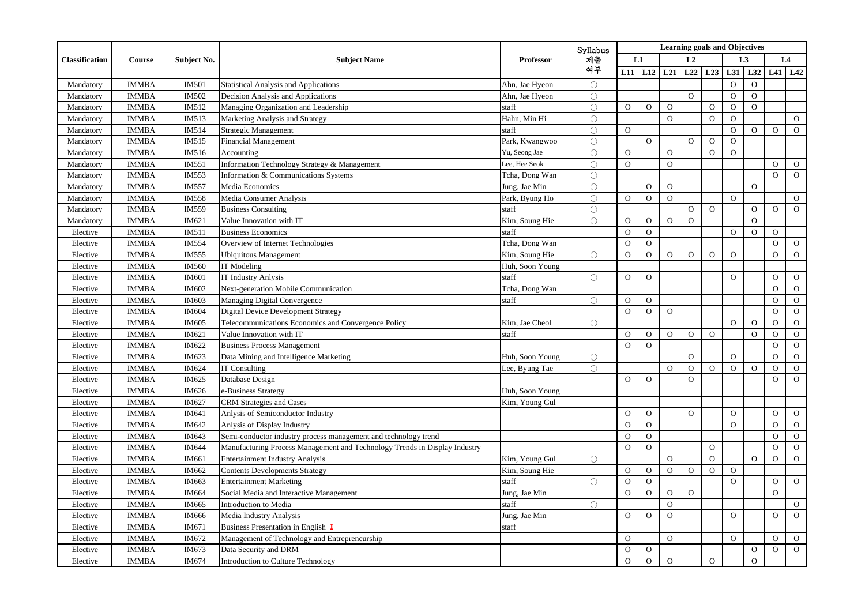| Classification | Course       | Subject No.  | <b>Subject Name</b>                                                        | <b>Professor</b> | Syllabus            | <b>Learning goals and Objectives</b> |                |                |                |                |                |                |                |                |
|----------------|--------------|--------------|----------------------------------------------------------------------------|------------------|---------------------|--------------------------------------|----------------|----------------|----------------|----------------|----------------|----------------|----------------|----------------|
|                |              |              |                                                                            |                  | 제출<br>여부            |                                      | L1             | L2             |                |                | L <sub>3</sub> |                | L4             |                |
|                |              |              |                                                                            |                  |                     |                                      | $L11$ $L12$    | L21            | L22            | L23            | L31            | L32            |                | $L41$ $L42$    |
| Mandatory      | <b>IMMBA</b> | <b>IM501</b> | <b>Statistical Analysis and Applications</b>                               | Ahn, Jae Hyeon   | $\circ$             |                                      |                |                |                |                | $\mathbf{O}$   | $\Omega$       |                |                |
| Mandatory      | <b>IMMBA</b> | IM502        | Decision Analysis and Applications                                         | Ahn, Jae Hyeon   | $\bigcirc$          |                                      |                |                | $\Omega$       |                | $\mathbf{O}$   | $\Omega$       |                |                |
| Mandatory      | <b>IMMBA</b> | IM512        | Managing Organization and Leadership                                       | staff            | Ō                   | $\overline{O}$                       | $\mathbf{O}$   | $\mathbf{O}$   |                | $\Omega$       | $\mathbf{O}$   | $\Omega$       |                |                |
| Mandatory      | <b>IMMBA</b> | IM513        | Marketing Analysis and Strategy                                            | Hahn, Min Hi     | ◯                   |                                      |                | $\overline{O}$ |                | $\Omega$       | $\mathbf{O}$   |                |                | $\mathbf{O}$   |
| Mandatory      | <b>IMMBA</b> | IM514        | Strategic Management                                                       | staff            | $\circlearrowright$ | $\mathbf{O}$                         |                |                |                |                | $\mathbf{O}$   | $\Omega$       | $\Omega$       | $\overline{O}$ |
| Mandatory      | <b>IMMBA</b> | IM515        | <b>Financial Management</b>                                                | Park, Kwangwoo   | $\circlearrowright$ |                                      | $\Omega$       |                | $\Omega$       | $\Omega$       | $\Omega$       |                |                |                |
| Mandatory      | <b>IMMBA</b> | IM516        | Accounting                                                                 | Yu, Seong Jae    | Ō                   | $\mathbf{O}$                         |                | $\overline{O}$ |                | $\Omega$       | $\Omega$       |                |                |                |
| Mandatory      | <b>IMMBA</b> | IM551        | Information Technology Strategy & Management                               | Lee, Hee Seok    | O                   | $\mathbf{O}$                         |                | $\overline{O}$ |                |                |                |                | $\mathbf{O}$   | $\mathbf{O}$   |
| Mandatory      | <b>IMMBA</b> | IM553        | Information & Communications Systems                                       | Tcha, Dong Wan   | $\bigcirc$          |                                      |                |                |                |                |                |                | $\overline{O}$ | $\mathbf{O}$   |
| Mandatory      | <b>IMMBA</b> | IM557        | Media Economics                                                            | Jung, Jae Min    | $\bigcirc$          |                                      | $\Omega$       | $\overline{O}$ |                |                |                | $\mathbf{O}$   |                |                |
| Mandatory      | <b>IMMBA</b> | <b>IM558</b> | Media Consumer Analysis                                                    | Park, Byung Ho   | $\bigcirc$          | $\mathbf{O}$                         | $\mathbf{O}$   | $\mathbf{O}$   |                |                | $\Omega$       |                |                | $\mathbf{O}$   |
| Mandatory      | <b>IMMBA</b> | IM559        | <b>Business Consulting</b>                                                 | staff            | Ō                   |                                      |                |                | $\Omega$       | $\overline{O}$ |                | $\Omega$       | $\overline{O}$ | $\mathbf{O}$   |
| Mandatory      | <b>IMMBA</b> | IM621        | Value Innovation with IT                                                   | Kim, Soung Hie   | $\bigcirc$          | $\mathbf{O}$                         | $\overline{O}$ | $\overline{O}$ | $\Omega$       |                |                | $\Omega$       |                |                |
| Elective       | <b>IMMBA</b> | IM511        | <b>Business Economics</b>                                                  | staff            |                     | $\mathbf{O}$                         | $\overline{O}$ |                |                |                | $\overline{O}$ | $\overline{O}$ | $\overline{O}$ |                |
| Elective       | <b>IMMBA</b> | IM554        | Overview of Internet Technologies                                          | Tcha, Dong Wan   |                     | $\overline{O}$                       | $\overline{O}$ |                |                |                |                |                | $\Omega$       | $\circ$        |
| Elective       | <b>IMMBA</b> | IM555        | <b>Ubiquitous Management</b>                                               | Kim, Soung Hie   | O                   | $\mathbf{O}$                         | $\overline{O}$ | $\mathbf{O}$   | $\Omega$       | $\Omega$       | $\overline{O}$ |                | $\Omega$       | $\overline{O}$ |
| Elective       | <b>IMMBA</b> | IM560        | IT Modeling                                                                | Huh, Soon Young  |                     |                                      |                |                |                |                |                |                |                |                |
| Elective       | <b>IMMBA</b> | IM601        | <b>IT Industry Anlysis</b>                                                 | staff            | $\bigcirc$          | $\mathbf{O}$                         | $\mathbf{O}$   |                |                |                | $\mathbf{O}$   |                | $\Omega$       | $\overline{O}$ |
| Elective       | <b>IMMBA</b> | IM602        | Next-generation Mobile Communication                                       | Tcha, Dong Wan   |                     |                                      |                |                |                |                |                |                | $\Omega$       | $\mathbf{O}$   |
| Elective       | <b>IMMBA</b> | IM603        | <b>Managing Digital Convergence</b>                                        | staff            | ◯                   | $\mathbf{O}$                         | $\Omega$       |                |                |                |                |                | $\circ$        | $\mathbf{O}$   |
| Elective       | <b>IMMBA</b> | <b>IM604</b> | Digital Device Development Strategy                                        |                  |                     | $\overline{O}$                       | $\mathbf{O}$   | $\mathcal{O}$  |                |                |                |                | $\Omega$       | $\mathcal{O}$  |
| Elective       | <b>IMMBA</b> | IM605        | Telecommunications Economics and Convergence Policy                        | Kim, Jae Cheol   | ◯                   |                                      |                |                |                |                | $\mathbf{O}$   | $\mathbf{O}$   | $\Omega$       | $\mathbf{O}$   |
| Elective       | <b>IMMBA</b> | IM621        | Value Innovation with IT                                                   | staff            |                     | $\mathbf{O}$                         | $\mathbf{O}$   | $\mathbf{O}$   | $\mathbf{O}$   | $\circ$        |                | $\Omega$       | $\Omega$       | $\mathbf{O}$   |
| Elective       | <b>IMMBA</b> | IM622        | <b>Business Process Management</b>                                         |                  |                     | $\overline{O}$                       | $\overline{O}$ |                |                |                |                |                | $\Omega$       | $\mathbf{O}$   |
| Elective       | <b>IMMBA</b> | IM623        | Data Mining and Intelligence Marketing                                     | Huh, Soon Young  | $\circlearrowright$ |                                      |                |                | $\Omega$       |                | $\Omega$       |                | $\Omega$       | $\mathbf{O}$   |
| Elective       | <b>IMMBA</b> | IM624        | <b>IT Consulting</b>                                                       | Lee, Byung Tae   | Ō                   |                                      |                | $\overline{O}$ | $\mathbf{O}$   | $\mathbf{O}$   | $\mathbf{O}$   | $\mathbf{O}$   | $\Omega$       | $\mathbf{O}$   |
| Elective       | <b>IMMBA</b> | IM625        | Database Design                                                            |                  |                     | $\overline{O}$                       | $\overline{O}$ |                | $\Omega$       |                |                |                | $\overline{O}$ | $\overline{O}$ |
| Elective       | <b>IMMBA</b> | IM626        | e-Business Strategy                                                        | Huh, Soon Young  |                     |                                      |                |                |                |                |                |                |                |                |
| Elective       | <b>IMMBA</b> | IM627        | <b>CRM</b> Strategies and Cases                                            | Kim, Young Gul   |                     |                                      |                |                |                |                |                |                |                |                |
| Elective       | <b>IMMBA</b> | IM641        | Anlysis of Semiconductor Industry                                          |                  |                     | $\overline{O}$                       | $\mathbf{O}$   |                | $\overline{O}$ |                | $\Omega$       |                | $\Omega$       | $\mathbf{O}$   |
| Elective       | <b>IMMBA</b> | IM642        | Anlysis of Display Industry                                                |                  |                     | $\overline{O}$                       | $\mathbf{O}$   |                |                |                | $\Omega$       |                | $\Omega$       | $\mathbf{O}$   |
| Elective       | <b>IMMBA</b> | IM643        | Semi-conductor industry process management and technology trend            |                  |                     | $\mathbf{O}$                         | $\mathbf{O}$   |                |                |                |                |                | $\Omega$       | $\mathbf{O}$   |
| Elective       | <b>IMMBA</b> | IM644        | Manufacturing Process Management and Technology Trends in Display Industry |                  |                     | $\overline{O}$                       | $\overline{O}$ |                |                | $\Omega$       |                |                | $\Omega$       | $\mathbf{O}$   |
| Elective       | <b>IMMBA</b> | IM661        | <b>Entertainment Industry Analysis</b>                                     | Kim, Young Gul   | Ō                   |                                      |                | $\overline{O}$ |                | $\overline{O}$ |                | $\Omega$       | $\Omega$       | $\overline{O}$ |
| Elective       | <b>IMMBA</b> | IM662        | <b>Contents Developments Strategy</b>                                      | Kim, Soung Hie   |                     | $\mathbf{O}$                         | $\mathbf{O}$   | $\overline{O}$ | $\mathbf{O}$   | $\mathbf{O}$   | $\mathbf{O}$   |                |                |                |
| Elective       | <b>IMMBA</b> | IM663        | <b>Entertainment Marketing</b>                                             | staff            | $\circlearrowright$ | $\mathbf{O}$                         | $\mathbf{O}$   |                |                |                | $\Omega$       |                | $\Omega$       | $\overline{O}$ |
| Elective       | <b>IMMBA</b> | IM664        | Social Media and Interactive Management                                    | Jung, Jae Min    |                     | $\overline{O}$                       | $\Omega$       | $\mathcal{O}$  | $\Omega$       |                |                |                | $\Omega$       |                |
| Elective       | <b>IMMBA</b> | IM665        | <b>Introduction</b> to Media                                               | staff            | $\circ$             |                                      |                | $\overline{O}$ |                |                |                |                |                | $\mathbf{O}$   |
| Elective       | <b>IMMBA</b> | IM666        | Media Industry Analysis                                                    | Jung, Jae Min    |                     | $\mathbf{O}$                         | $\mathbf{O}$   | $\overline{O}$ |                |                | $\Omega$       |                | $\Omega$       | $\overline{O}$ |
| Elective       | <b>IMMBA</b> | IM671        | Business Presentation in English I                                         | staff            |                     |                                      |                |                |                |                |                |                |                |                |
| Elective       | <b>IMMBA</b> | IM672        | Management of Technology and Entrepreneurship                              |                  |                     | $\overline{O}$                       |                | $\overline{O}$ |                |                | $\Omega$       |                | $\Omega$       | $\mathbf{O}$   |
| Elective       | <b>IMMBA</b> | IM673        | Data Security and DRM                                                      |                  |                     | $\mathbf{O}$                         | $\mathbf{O}$   |                |                |                |                | $\mathbf{O}$   | $\mathbf{O}$   | $\mathbf{O}$   |
| Elective       | <b>IMMBA</b> | IM674        | Introduction to Culture Technology                                         |                  |                     | $\Omega$                             | $\Omega$       | $\overline{O}$ |                | $\Omega$       |                | $\Omega$       |                |                |